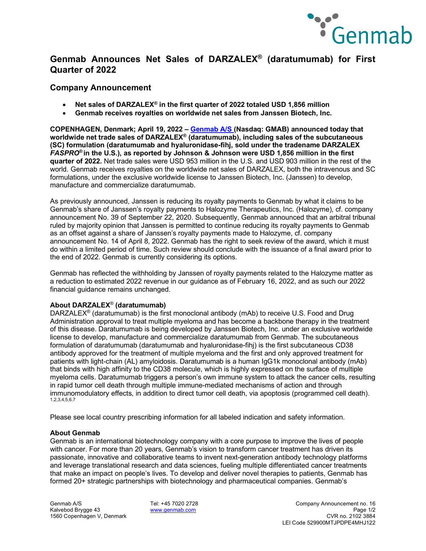

# **Genmab Announces Net Sales of DARZALEX® (daratumumab) for First Quarter of 2022**

### **Company Announcement**

- **Net sales of DARZALEX® in the first quarter of 2022 totaled USD 1,856 million**
- **Genmab receives royalties on worldwide net sales from Janssen Biotech, Inc.**

**COPENHAGEN, Denmark; April 19, 2022 – [Genmab A/S \(](https://www.genmab.com/)Nasdaq: GMAB) announced today that worldwide net trade sales of DARZALEX® (daratumumab), including sales of the subcutaneous (SC) formulation (daratumumab and hyaluronidase-fihj, sold under the tradename DARZALEX**  *FASPRO***® in the U.S.), as reported by Johnson & Johnson were USD 1,856 million in the first quarter of 2022.** Net trade sales were USD 953 million in the U.S. and USD 903 million in the rest of the world. Genmab receives royalties on the worldwide net sales of DARZALEX, both the intravenous and SC formulations, under the exclusive worldwide license to Janssen Biotech, Inc. (Janssen) to develop, manufacture and commercialize daratumumab.

As previously announced, Janssen is reducing its royalty payments to Genmab by what it claims to be Genmab's share of Janssen's royalty payments to Halozyme Therapeutics, Inc. (Halozyme), cf. company announcement No. 39 of September 22, 2020. Subsequently, Genmab announced that an arbitral tribunal ruled by majority opinion that Janssen is permitted to continue reducing its royalty payments to Genmab as an offset against a share of Janssen's royalty payments made to Halozyme, cf. company announcement No. 14 of April 8, 2022. Genmab has the right to seek review of the award, which it must do within a limited period of time. Such review should conclude with the issuance of a final award prior to the end of 2022. Genmab is currently considering its options.

Genmab has reflected the withholding by Janssen of royalty payments related to the Halozyme matter as a reduction to estimated 2022 revenue in our guidance as of February 16, 2022, and as such our 2022 financial guidance remains unchanged.

### **About DARZALEX**® **(daratumumab)**

DARZALEX<sup>®</sup> (daratumumab) is the first monoclonal antibody (mAb) to receive U.S. Food and Drug Administration approval to treat multiple myeloma and has become a backbone therapy in the treatment of this disease. Daratumumab is being developed by Janssen Biotech, Inc. under an exclusive worldwide license to develop, manufacture and commercialize daratumumab from Genmab. The subcutaneous formulation of daratumumab (daratumumab and hyaluronidase-fihj) is the first subcutaneous CD38 antibody approved for the treatment of multiple myeloma and the first and only approved treatment for patients with light-chain (AL) amyloidosis. Daratumumab is a human IgG1k monoclonal antibody (mAb) that binds with high affinity to the CD38 molecule, which is highly expressed on the surface of multiple myeloma cells. Daratumumab triggers a person's own immune system to attack the cancer cells, resulting in rapid tumor cell death through multiple immune-mediated mechanisms of action and through immunomodulatory effects, in addition to direct tumor cell death, via apoptosis (programmed cell death). 1,2,3,4,5,6,7

Please see local country prescribing information for all labeled indication and safety information.

### **About Genmab**

Genmab is an international biotechnology company with a core purpose to improve the lives of people with cancer. For more than 20 years, Genmab's vision to transform cancer treatment has driven its passionate, innovative and collaborative teams to invent next-generation antibody technology platforms and leverage translational research and data sciences, fueling multiple differentiated cancer treatments that make an impact on people's lives. To develop and deliver novel therapies to patients, Genmab has formed 20+ strategic partnerships with biotechnology and pharmaceutical companies. Genmab's

1560 Copenhagen V, Denmark

Genmab A/S Tel: +45 7020 2728 Company Announcement no. 16 Kalvebod Brygge 43 [www.genmab.com](http://www.genmab.com/) Page 1/2 LEI Code 529900MTJPDPE4MHJ122